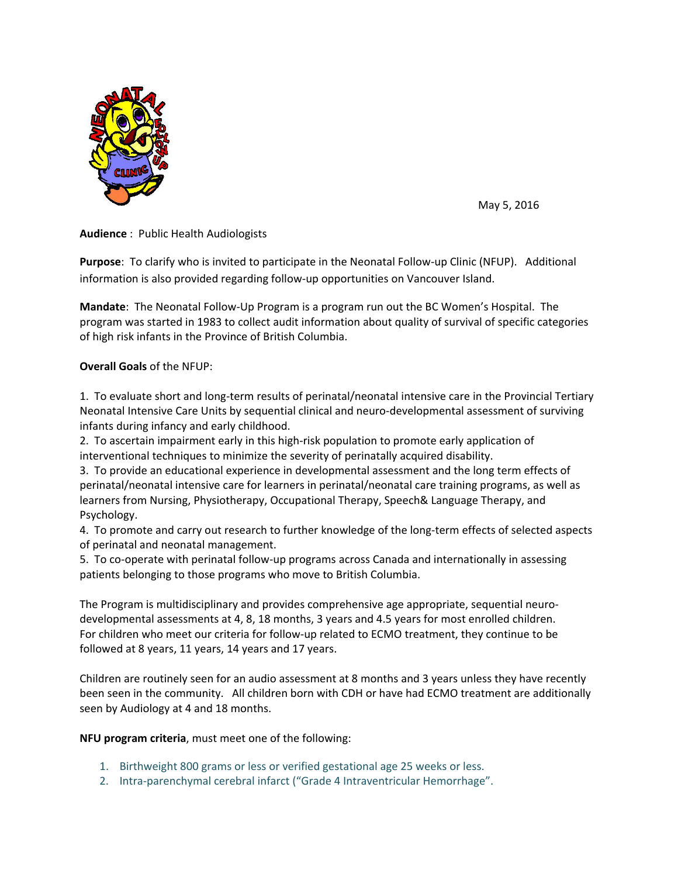

May 5, 2016

**Audience** : Public Health Audiologists

**Purpose**: To clarify who is invited to participate in the Neonatal Follow-up Clinic (NFUP). Additional information is also provided regarding follow‐up opportunities on Vancouver Island.

**Mandate**: The Neonatal Follow‐Up Program is a program run out the BC Women's Hospital. The program was started in 1983 to collect audit information about quality of survival of specific categories of high risk infants in the Province of British Columbia.

## **Overall Goals** of the NFUP:

1. To evaluate short and long‐term results of perinatal/neonatal intensive care in the Provincial Tertiary Neonatal Intensive Care Units by sequential clinical and neuro‐developmental assessment of surviving infants during infancy and early childhood.

2. To ascertain impairment early in this high‐risk population to promote early application of interventional techniques to minimize the severity of perinatally acquired disability.

3. To provide an educational experience in developmental assessment and the long term effects of perinatal/neonatal intensive care for learners in perinatal/neonatal care training programs, as well as learners from Nursing, Physiotherapy, Occupational Therapy, Speech& Language Therapy, and Psychology.

4. To promote and carry out research to further knowledge of the long-term effects of selected aspects of perinatal and neonatal management.

5. To co-operate with perinatal follow-up programs across Canada and internationally in assessing patients belonging to those programs who move to British Columbia.

The Program is multidisciplinary and provides comprehensive age appropriate, sequential neuro‐ developmental assessments at 4, 8, 18 months, 3 years and 4.5 years for most enrolled children. For children who meet our criteria for follow-up related to ECMO treatment, they continue to be followed at 8 years, 11 years, 14 years and 17 years.

Children are routinely seen for an audio assessment at 8 months and 3 years unless they have recently been seen in the community. All children born with CDH or have had ECMO treatment are additionally seen by Audiology at 4 and 18 months.

## **NFU program criteria**, must meet one of the following:

- 1. Birthweight 800 grams or less or verified gestational age 25 weeks or less.
- 2. Intra-parenchymal cerebral infarct ("Grade 4 Intraventricular Hemorrhage".